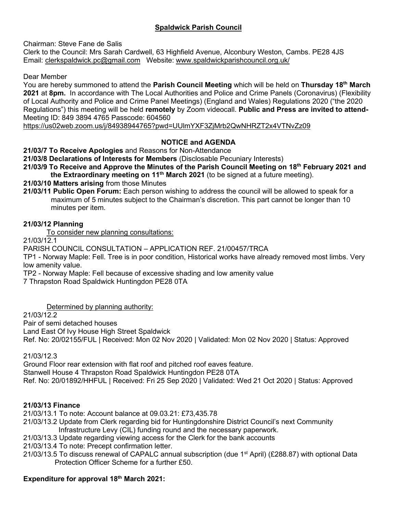# **Spaldwick Parish Council**

Chairman: Steve Fane de Salis

Clerk to the Council: Mrs Sarah Cardwell, 63 Highfield Avenue, Alconbury Weston, Cambs. PE28 4JS Email: [clerkspaldwick.pc@gmail.com](mailto:clerkspaldwick.pc@gmail.com) Website: [www.spaldwickparishcouncil.org.uk/](http://www.spaldwickparishcouncil.org.uk/)

Dear Member

You are hereby summoned to attend the **Parish Council Meeting** which will be held on **Thursday 18th March 2021** at **8pm.** In accordance with The Local Authorities and Police and Crime Panels (Coronavirus) (Flexibility of Local Authority and Police and Crime Panel Meetings) (England and Wales) Regulations 2020 ("the 2020 Regulations") this meeting will be held **remotely** by Zoom videocall. **Public and Press are invited to attend-**Meeting ID: 849 3894 4765 Passcode: 604560

<https://us02web.zoom.us/j/84938944765?pwd=UUlmYXF3ZjMrb2QwNHRZT2x4VTNvZz09>

# **NOTICE and AGENDA**

**21/03/7 To Receive Apologies** and Reasons for Non-Attendance

**21/03/8 Declarations of Interests for Members** (Disclosable Pecuniary Interests)

**21/03/9 To Receive and Approve the Minutes of the Parish Council Meeting on 18th February 2021 and the Extraordinary meeting on 11<sup>th</sup> March 2021** (to be signed at a future meeting).

**21/03/10 Matters arising** from those Minutes

**21/03/11 Public Open Forum:** Each person wishing to address the council will be allowed to speak for a maximum of 5 minutes subject to the Chairman's discretion. This part cannot be longer than 10 minutes per item.

## **21/03/12 Planning**

To consider new planning consultations:

21/03/12.1

PARISH COUNCIL CONSULTATION – APPLICATION REF. 21/00457/TRCA

TP1 - Norway Maple: Fell. Tree is in poor condition, Historical works have already removed most limbs. Very low amenity value.

TP2 - Norway Maple: Fell because of excessive shading and low amenity value

7 Thrapston Road Spaldwick Huntingdon PE28 0TA

Determined by planning authority:

21/03/12.2

[Pair of semi detached houses](https://publicaccess.huntingdonshire.gov.uk/online-applications/applicationDetails.do?keyVal=QJ6FEKIKGQY00&activeTab=summary)

Land East Of Ivy House High Street Spaldwick

Ref. No: 20/02155/FUL | Received: Mon 02 Nov 2020 | Validated: Mon 02 Nov 2020 | Status: Approved

21/03/12.3

[Ground Floor rear extension with flat roof and pitched roof eaves feature.](https://publicaccess.huntingdonshire.gov.uk/online-applications/applicationDetails.do?keyVal=QHDA7DIK0HH00&activeTab=summary) Stanwell House 4 Thrapston Road Spaldwick Huntingdon PE28 0TA Ref. No: 20/01892/HHFUL | Received: Fri 25 Sep 2020 | Validated: Wed 21 Oct 2020 | Status: Approved

# **21/03/13 Finance**

21/03/13.1 To note: Account balance at 09.03.21: £73,435.78

- 21/03/13.2 Update from Clerk regarding bid for Huntingdonshire District Council's next Community Infrastructure Levy (CIL) funding round and the necessary paperwork.
- 21/03/13.3 Update regarding viewing access for the Clerk for the bank accounts

21/03/13.4 To note: Precept confirmation letter.

21/03/13.5 To discuss renewal of CAPALC annual subscription (due 1<sup>st</sup> April) (£288.87) with optional Data Protection Officer Scheme for a further £50.

# **Expenditure for approval 18th March 2021:**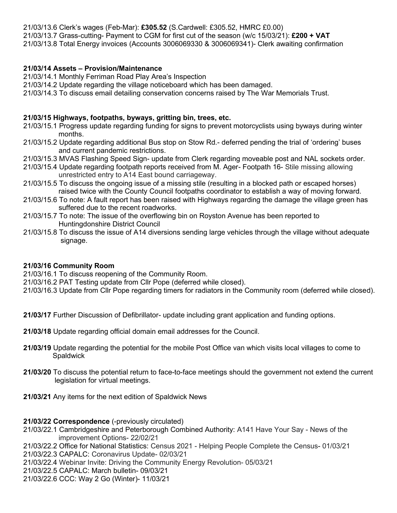21/03/13.6 Clerk's wages (Feb-Mar): **£305.52** (S.Cardwell: £305.52, HMRC £0.00) 21/03/13.7 Grass-cutting- Payment to CGM for first cut of the season (w/c 15/03/21): **£200 + VAT** 21/03/13.8 Total Energy invoices (Accounts 3006069330 & 3006069341)- Clerk awaiting confirmation

## **21/03/14 Assets – Provision/Maintenance**

21/03/14.1 Monthly Ferriman Road Play Area's Inspection

21/03/14.2 Update regarding the village noticeboard which has been damaged.

21/03/14.3 To discuss email detailing conservation concerns raised by The War Memorials Trust.

#### **21/03/15 Highways, footpaths, byways, gritting bin, trees, etc.**

- 21/03/15.1 Progress update regarding funding for signs to prevent motorcyclists using byways during winter months.
- 21/03/15.2 Update regarding additional Bus stop on Stow Rd.- deferred pending the trial of 'ordering' buses and current pandemic restrictions.
- 21/03/15.3 MVAS Flashing Speed Sign- update from Clerk regarding moveable post and NAL sockets order.
- 21/03/15.4 Update regarding footpath reports received from M. Ager- Footpath 16- Stile missing allowing unrestricted entry to A14 East bound carriageway.
- 21/03/15.5 To discuss the ongoing issue of a missing stile (resulting in a blocked path or escaped horses) raised twice with the County Council footpaths coordinator to establish a way of moving forward.
- 21/03/15.6 To note: A fault report has been raised with Highways regarding the damage the village green has suffered due to the recent roadworks.
- 21/03/15.7 To note: The issue of the overflowing bin on Royston Avenue has been reported to Huntingdonshire District Council
- 21/03/15.8 To discuss the issue of A14 diversions sending large vehicles through the village without adequate signage.

### **21/03/16 Community Room**

21/03/16.1 To discuss reopening of the Community Room.

21/03/16.2 PAT Testing update from Cllr Pope (deferred while closed).

21/03/16.3 Update from Cllr Pope regarding timers for radiators in the Community room (deferred while closed).

**21/03/17** Further Discussion of Defibrillator- update including grant application and funding options.

**21/03/18** Update regarding official domain email addresses for the Council.

- **21/03/19** Update regarding the potential for the mobile Post Office van which visits local villages to come to **Spaldwick**
- **21/03/20** To discuss the potential return to face-to-face meetings should the government not extend the current legislation for virtual meetings.
- **21/03/21** Any items for the next edition of Spaldwick News

### **21/03/22 Correspondence** (-previously circulated)

21/03/22.1 Cambridgeshire and Peterborough Combined Authority: A141 Have Your Say - News of the improvement Options- 22/02/21

21/03/22.2 Office for National Statistics: Census 2021 - Helping People Complete the Census- 01/03/21

21/03/22.3 CAPALC: Coronavirus Update- 02/03/21

21/03/22.4 Webinar Invite: Driving the Community Energy Revolution- 05/03/21

21/03/22.5 CAPALC: March bulletin- 09/03/21

21/03/22.6 CCC: Way 2 Go (Winter)- 11/03/21